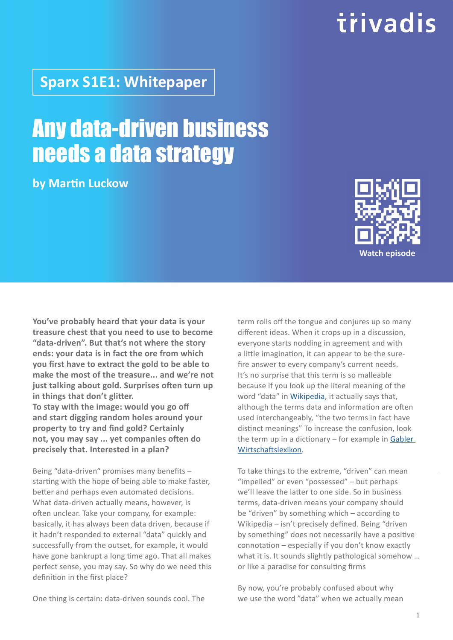One thing is certain: data-driven sounds cool. The

# trivadis

### **Sparx S1E1: Whitepaper**

### Any data-driven business needs a data strategy

**by Martin Luckow**

**You've probably heard that your data is your treasure chest that you need to use to become "data-driven". But that's not where the story ends: your data is in fact the ore from which you first have to extract the gold to be able to make the most of the treasure... and we're not just talking about gold. Surprises often turn up in things that don't glitter.**

**To stay with the image: would you go off and start digging random holes around your property to try and find gold? Certainly not, you may say ... yet companies often do precisely that. Interested in a plan?**

Being "data-driven" promises many benefits – starting with the hope of being able to make faster, better and perhaps even automated decisions. What data-driven actually means, however, is often unclear. Take your company, for example: basically, it has always been data driven, because if it hadn't responded to external "data" quickly and successfully from the outset, for example, it would have gone bankrupt a long time ago. That all makes perfect sense, you may say. So why do we need this definition in the first place?

term rolls off the tongue and conjures up so many different ideas. When it crops up in a discussion, everyone starts nodding in agreement and with a little imagination, it can appear to be the surefire answer to every company's current needs. It's no surprise that this term is so malleable because if you look up the literal meaning of the word "data" in [Wikipedia](https://de.wikipedia.org/wiki/Daten), it actually says that, although the terms data and information are often used interchangeably, "the two terms in fact have distinct meanings" To increase the confusion, look the term up in a dictionary – for example in [Gabler](https://wirtschaftslexikon.gabler.de/definition/daten-30636/version-133420)  [Wirtschaftslexikon.](https://wirtschaftslexikon.gabler.de/definition/daten-30636/version-133420)

To take things to the extreme, "driven" can mean "impelled" or even "possessed" – but perhaps we'll leave the latter to one side. So in business terms, data-driven means your company should be "driven" by something which – according to Wikipedia – isn't precisely defined. Being "driven by something" does not necessarily have a positive connotation – especially if you don't know exactly what it is. It sounds slightly pathological somehow ... or like a paradise for consulting firms

By now, you're probably confused about why we use the word "data" when we actually mean

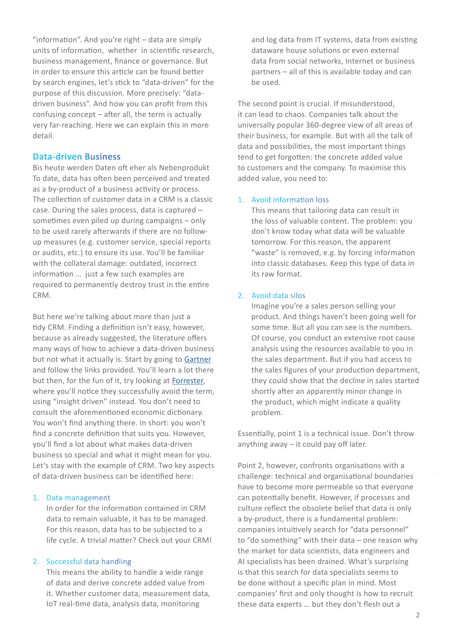"information". And you're right – data are simply **mode that count in the Cloud**<br>units of information, whether in scientific research, and dataware house so business management, finance or governance. But data from social no<br>in order to ensure this article can be found better from partners – all of th "information". And you're right – data are simply business management, finance or governance. But by search engines, let's stick to "data-driven" for the purpose of this discussion. More precisely: "datadriven business". And how you can profit from this confusing concept – after all, the term is actually very far-reaching. Here we can explain this in more detail.

#### **Data-driven Business**

Bis heute werden Daten oft eher als Nebenprodukt To date, data has often been perceived and treated as a by-product of a business activity or process. The collection of customer data in a CRM is a classic case. During the sales process, data is captured – sometimes even piled up during campaigns – only to be used rarely afterwards if there are no followup measures (e.g. customer service, special reports or audits, etc.) to ensure its use. You'll be familiar with the collateral damage: outdated, incorrect information … just a few such examples are required to permanently destroy trust in the entire CRM.

But here we're talking about more than just a tidy CRM. Finding a definition isn't easy, however, because as already suggested, the literature offers many ways of how to achieve a data-driven business but not what it actually is. Start by going to [Gartner](https://www.gartner.com/smarterwithgartner/build-a-data-driven-organization) and follow the links provided. You'll learn a lot there but then, for the fun of it, try looking at [Forrester,]((https://www.forrester.com/report/Forrester+Infographic+The+InsightsDriven+Business+Responsibility+Matrix/-/E-RES156978) where you'll notice they successfully avoid the term, using "insight driven" instead. You don't need to consult the aforementioned economic dictionary. You won't find anything there. In short: you won't find a concrete definition that suits you. However, you'll find a lot about what makes data-driven business so special and what it might mean for you. Let's stay with the example of CRM. Two key aspects of data-driven business can be identified here:

#### 1. Data management

In order for the information contained in CRM data to remain valuable, it has to be managed. For this reason, data has to be subjected to a life cycle. A trivial matter? Check out your CRM!

#### 2. Successful data handling

This means the ability to handle a wide range of data and derive concrete added value from it. Whether customer data, measurement data, IoT real-time data, analysis data, monitoring

and log data from IT systems, data from existing dataware house solutions or even external data from social networks, Internet or business partners – all of this is available today and can be used.

The second point is crucial. If misunderstood, it can lead to chaos. Companies talk about the universally popular 360-degree view of all areas of their business, for example. But with all the talk of data and possibilities, the most important things tend to get forgotten: the concrete added value to customers and the company. To maximise this added value, you need to:

#### 1. Avoid information loss

This means that tailoring data can result in the loss of valuable content. The problem: you don't know today what data will be valuable tomorrow. For this reason, the apparent "waste" is removed, e.g. by forcing information into classic databases. Keep this type of data in its raw format.

#### 2. Avoid data silos

Imagine you're a sales person selling your product. And things haven't been going well for some time. But all you can see is the numbers. Of course, you conduct an extensive root cause analysis using the resources available to you in the sales department. But if you had access to the sales figures of your production department, they could show that the decline in sales started shortly after an apparently minor change in the product, which might indicate a quality problem.

Essentially, point 1 is a technical issue. Don't throw anything away – it could pay off later.

Point 2, however, confronts organisations with a challenge: technical and organisational boundaries have to become more permeable so that everyone can potentially benefit. However, if processes and culture reflect the obsolete belief that data is only a by-product, there is a fundamental problem: companies intuitively search for "data personnel" to "do something" with their data – one reason why the market for data scientists, data engineers and AI specialists has been drained. What's surprising is that this search for data specialists seems to be done without a specific plan in mind. Most companies' first and only thought is how to recruit these data experts … but they don't flesh out a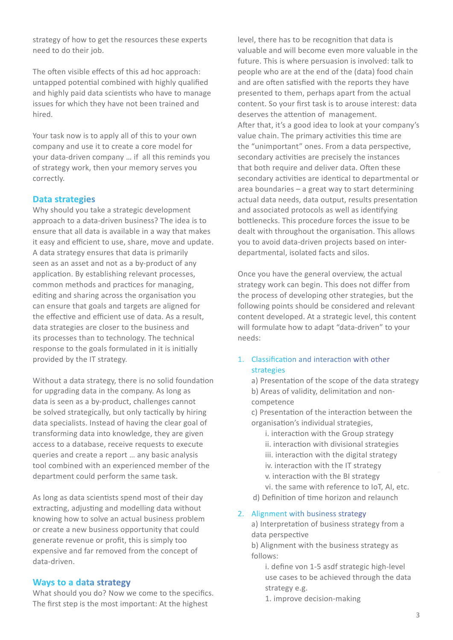strategy of how to get the resources these experts need to do their job.

The often visible effects of this ad hoc approach: untapped potential combined with highly qualified and highly paid data scientists who have to manage issues for which they have not been trained and hired.

Your task now is to apply all of this to your own company and use it to create a core model for your data-driven company … if all this reminds you of strategy work, then your memory serves you correctly.

#### **Data strategies**

Why should you take a strategic development approach to a data-driven business? The idea is to ensure that all data is available in a way that makes it easy and efficient to use, share, move and update. A data strategy ensures that data is primarily seen as an asset and not as a by-product of any application. By establishing relevant processes, common methods and practices for managing, editing and sharing across the organisation you can ensure that goals and targets are aligned for the effective and efficient use of data. As a result, data strategies are closer to the business and its processes than to technology. The technical response to the goals formulated in it is initially provided by the IT strategy.

Without a data strategy, there is no solid foundation for upgrading data in the company. As long as data is seen as a by-product, challenges cannot be solved strategically, but only tactically by hiring data specialists. Instead of having the clear goal of transforming data into knowledge, they are given access to a database, receive requests to execute queries and create a report … any basic analysis tool combined with an experienced member of the department could perform the same task.

As long as data scientists spend most of their day extracting, adjusting and modelling data without knowing how to solve an actual business problem or create a new business opportunity that could generate revenue or profit, this is simply too expensive and far removed from the concept of data-driven.

#### **Ways to a data strategy**

What should you do? Now we come to the specifics. The first step is the most important: At the highest

level, there has to be recognition that data is valuable and will become even more valuable in the future. This is where persuasion is involved: talk to people who are at the end of the (data) food chain and are often satisfied with the reports they have presented to them, perhaps apart from the actual content. So your first task is to arouse interest: data deserves the attention of management. After that, it's a good idea to look at your company's value chain. The primary activities this time are the "unimportant" ones. From a data perspective, secondary activities are precisely the instances that both require and deliver data. Often these secondary activities are identical to departmental or area boundaries – a great way to start determining actual data needs, data output, results presentation and associated protocols as well as identifying bottlenecks. This procedure forces the issue to be dealt with throughout the organisation. This allows you to avoid data-driven projects based on interdepartmental, isolated facts and silos.

Once you have the general overview, the actual strategy work can begin. This does not differ from the process of developing other strategies, but the following points should be considered and relevant content developed. At a strategic level, this content will formulate how to adapt "data-driven" to your needs:

#### 1. Classification and interaction with other strategies

a) Presentation of the scope of the data strategy b) Areas of validity, delimitation and noncompetence

c) Presentation of the interaction between the organisation's individual strategies,

i. interaction with the Group strategy ii. interaction with divisional strategies iii. interaction with the digital strategy iv. interaction with the IT strategy

v. interaction with the BI strategy vi. the same with reference to IoT, AI, etc.

d) Definition of time horizon and relaunch

#### 2. Alignment with business strategy

a) Interpretation of business strategy from a data perspective

b) Alignment with the business strategy as follows:

- i. define von 1-5 asdf strategic high-level use cases to be achieved through the data strategy e.g.
- 1. improve decision-making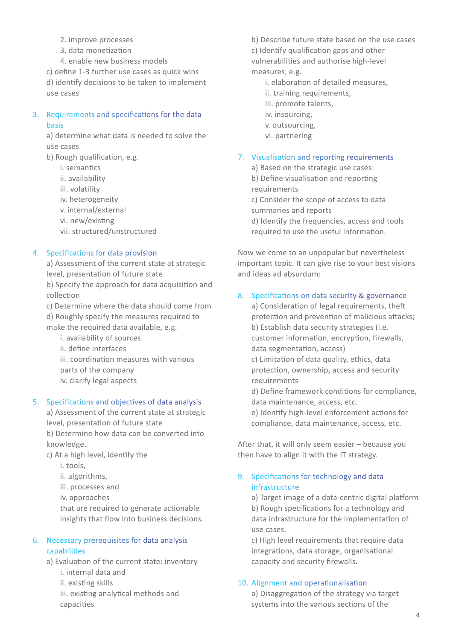- 2. improve processes
- 3. data monetization
- 4. enable new business models

c) define 1-3 further use cases as quick wins d) identify decisions to be taken to implement use cases

#### 3. Requirements and specifications for the data basis

a) determine what data is needed to solve the use cases

- b) Rough qualification, e.g.
	- i. semantics
	- ii. availability
	- iii. volatility
	- iv. heterogeneity
	- v. internal/external
	- vi. new/existing
	- vii. structured/unstructured

#### 4. Specifications for data provision

a) Assessment of the current state at strategic level, presentation of future state

b) Specify the approach for data acquisition and collection

c) Determine where the data should come from

d) Roughly specify the measures required to

make the required data available, e.g.

- i. availability of sources
- ii. define interfaces
- iii. coordination measures with various parts of the company
- 
- iv. clarify legal aspects

#### 5. Specifications and objectives of data analysis

a) Assessment of the current state at strategic level, presentation of future state

b) Determine how data can be converted into knowledge.

c) At a high level, identify the

- i. tools,
- ii. algorithms,
- iii. processes and
- iv. approaches

that are required to generate actionable insights that flow into business decisions.

#### 6. Necessary prerequisites for data analysis capabilities

- a) Evaluation of the current state: inventory
	- i. internal data and
	- ii. existing skills
	- iii. existing analytical methods and capacities

b) Describe future state based on the use cases c) Identify qualification gaps and other vulnerabilities and authorise high-level measures, e.g.

- i. elaboration of detailed measures,
- ii. training requirements,
- iii. promote talents,
- iv. insourcing,
- v. outsourcing,
- vi. partnering

#### 7. Visualisation and reporting requirements

a) Based on the strategic use cases:

b) Define visualisation and reporting

- requirements
- c) Consider the scope of access to data
- summaries and reports
- d) Identify the frequencies, access and tools required to use the useful information.

Now we come to an unpopular but nevertheless important topic. It can give rise to your best visions and ideas ad absurdum:

#### 8. Specifications on data security & governance

a) Consideration of legal requirements, theft protection and prevention of malicious attacks; b) Establish data security strategies (i.e. customer information, encryption, firewalls, data segmentation, access)

c) Limitation of data quality, ethics, data protection, ownership, access and security requirements

d) Define framework conditions for compliance, data maintenance, access, etc.

e) Identify high-level enforcement actions for compliance, data maintenance, access, etc.

After that, it will only seem easier – because you then have to align it with the IT strategy.

#### 9. Specifications for technology and data infrastructure

a) Target image of a data-centric digital platform b) Rough specifications for a technology and data infrastructure for the implementation of use cases.

c) High level requirements that require data integrations, data storage, organisational capacity and security firewalls.

#### 10. Alignment and operationalisation

a) Disaggregation of the strategy via target systems into the various sections of the